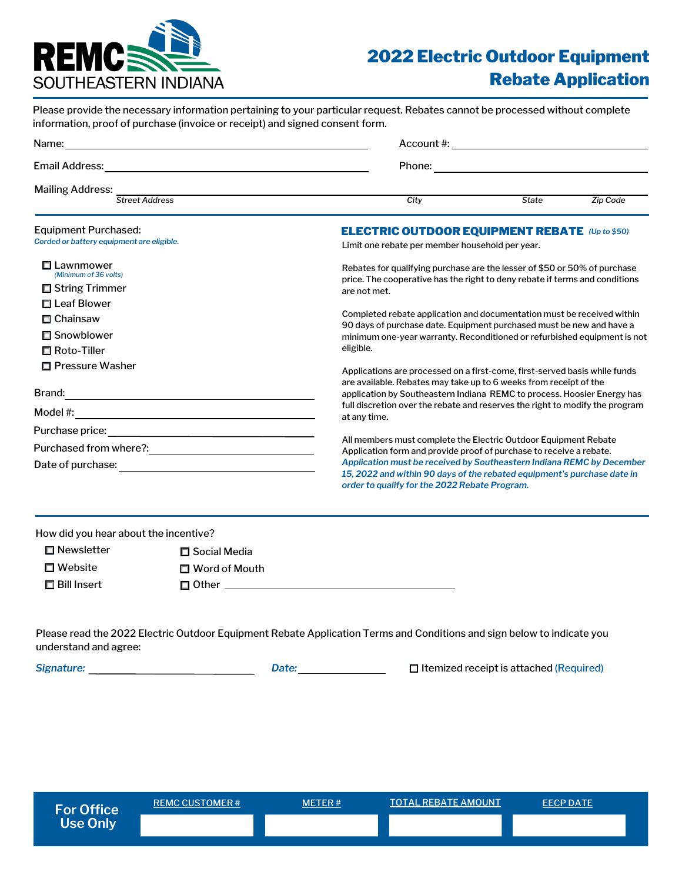

## 2022 Electric Outdoor Equipment Rebate Application

| Please provide the necessary information pertaining to your particular request. Rebates cannot be processed without complete |            |  |  |  |
|------------------------------------------------------------------------------------------------------------------------------|------------|--|--|--|
| information, proof of purchase (invoice or receipt) and signed consent form.                                                 |            |  |  |  |
| Name:                                                                                                                        | Account #: |  |  |  |

| <b>Email Address:</b> | Phone: |
|-----------------------|--------|
|                       |        |

Mailing Address: *Street Address City State Zip Code*

| Equipment Purchased:<br>Corded or battery equipment are eligible. | <b>ELECTRIC OUTDOOR EQUIPMENT REBATE (Up to \$50)</b><br>Limit one rebate per member household per year.                                                                                                                                                                                   |  |
|-------------------------------------------------------------------|--------------------------------------------------------------------------------------------------------------------------------------------------------------------------------------------------------------------------------------------------------------------------------------------|--|
| Lawnmower<br>(Minimum of 36 volts)<br>□ String Trimmer            | Rebates for qualifying purchase are the lesser of \$50 or 50% of purchase<br>price. The cooperative has the right to deny rebate if terms and conditions<br>are not met.                                                                                                                   |  |
| □ Leaf Blower<br>□ Chainsaw<br>□ Snowblower<br>□ Roto-Tiller      | Completed rebate application and documentation must be received within<br>90 days of purchase date. Equipment purchased must be new and have a<br>minimum one-year warranty. Reconditioned or refurbished equipment is not<br>eligible.                                                    |  |
| □ Pressure Washer                                                 | Applications are processed on a first-come, first-served basis while funds<br>are available. Rebates may take up to 6 weeks from receipt of the                                                                                                                                            |  |
| Brand:<br>Model $#$ :                                             | application by Southeastern Indiana REMC to process. Hoosier Energy has<br>full discretion over the rebate and reserves the right to modify the program<br>at any time.                                                                                                                    |  |
| Purchase price:                                                   |                                                                                                                                                                                                                                                                                            |  |
| Purchased from where?:<br>Date of purchase:                       | All members must complete the Electric Outdoor Equipment Rebate<br>Application form and provide proof of purchase to receive a rebate.<br>Application must be received by Southeastern Indiana REMC by December<br>15, 2022 and within 90 days of the rebated equipment's purchase date in |  |
|                                                                   | order to qualify for the 2022 Rebate Program.                                                                                                                                                                                                                                              |  |

| $\Box$ Newsletter  | □ Social Media       |
|--------------------|----------------------|
| $\Box$ Website     | $\Box$ Word of Mouth |
| $\Box$ Bill Insert | □ Other              |

Please read the 2022 Electric Outdoor Equipment Rebate Application Terms and Conditions and sign below to indicate you understand and agree:

*Signature: Date:* Itemized receipt is attached (Required)

| <b>For Office</b> | <b>REMC CUSTOMER#</b> | <b>METER#</b> | <b>TOTAL REBATE AMOUNT</b> | <b>EECP DATE</b> |
|-------------------|-----------------------|---------------|----------------------------|------------------|
| <b>Use Only</b>   |                       |               |                            |                  |